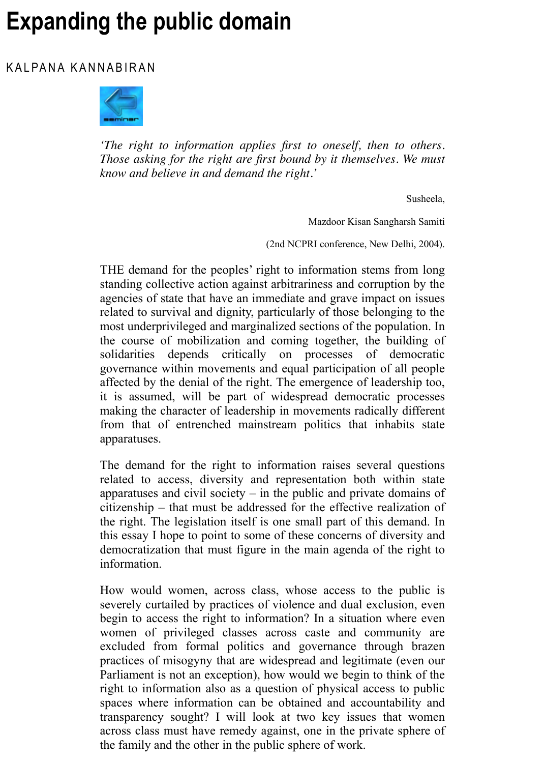*'The right to information applies first to oneself, then to others. Those asking for the right are first bound by it themselves. We must know and believe in and demand the right.'*

Susheela,

Mazdoor Kisan Sangharsh Samiti

(2nd NCPRI conference, New Delhi, 2004).

[THE dem](http://www.india-seminar.com/2005/551.htm)and for the peoples' right to information stems from long standing collective action against arbitrariness and corruption by the agencies of state that have an immediate and grave impact on issues related to survival and dignity, particularly of those belonging to the most underprivileged and marginalized sections of the population. In the course of mobilization and coming together, the building of solidarities depends critically on processes of democratic governance within movements and equal participation of all people affected by the denial of the right. The emergence of leadership too, it is assumed, will be part of widespread democratic processes making the character of leadership in movements radically different from that of entrenched mainstream politics that inhabits state apparatuses.

The demand for the right to information raises several questions related to access, diversity and representation both within state apparatuses and civil society  $-$  in the public and private domains of citizenship – that must be addressed for the effective realization of the right. The legislation itself is one small part of this demand. In this essay I hope to point to some of these concerns of diversity and democratization that must figure in the main agenda of the right to information.

How would women, across class, whose access to the public is severely curtailed by practices of violence and dual exclusion, even begin to access the right to information? In a situation where even women of privileged classes across caste and community are excluded from formal politics and governance through brazen practices of misogyny that are widespread and legitimate (even our Parliament is not an exception), how would we begin to think of the right to information also as a question of physical access to public spaces where information can be obtained and accountability and transparency sought? I will look at two key issues that women across class must have remedy against, one in the private sphere of the family and the other in the public sphere of work.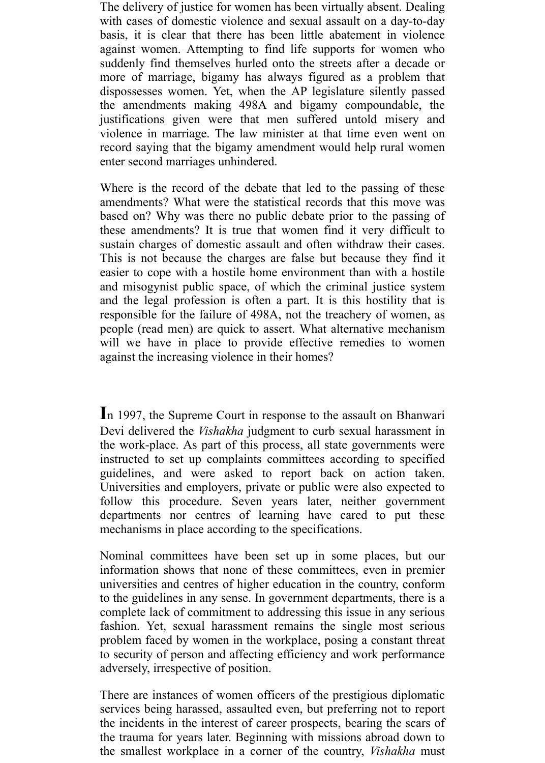The delivery of justice for women has been virtually absent. Dealing with cases of domestic violence and sexual assault on a day-to-day basis, it is clear that there has been little abatement in violence against women. Attempting to find life supports for women who suddenly find themselves hurled onto the streets after a decade or more of marriage, bigamy has always figured as a problem that dispossesses women. Yet, when the AP legislature silently passed the amendments making 498A and bigamy compoundable, the justifications given were that men suffered untold misery and violence in marriage. The law minister at that time even went on record saying that the bigamy amendment would help rural women enter second marriages unhindered.

Where is the record of the debate that led to the passing of these amendments? What were the statistical records that this move was based on? Why was there no public debate prior to the passing of these amendments? It is true that women find it very difficult to sustain charges of domestic assault and often withdraw their cases. This is not because the charges are false but because they find it easier to cope with a hostile home environment than with a hostile and misogynist public space, of which the criminal justice system and the legal profession is often a part. It is this hostility that is responsible for the failure of 498A, not the treachery of women, as people (read men) are quick to assert. What alternative mechanism will we have in place to provide effective remedies to women against the increasing violence in their homes?

**I**n 1997, the Supreme Court in response to the assault on Bhanwari Devi delivered the *Vishakha* judgment to curb sexual harassment in the work-place. As part of this process, all state governments were instructed to set up complaints committees according to specified guidelines, and were asked to report back on action taken. Universities and employers, private or public were also expected to follow this procedure. Seven years later, neither government departments nor centres of learning have cared to put these mechanisms in place according to the specifications.

Nominal committees have been set up in some places, but our information shows that none of these committees, even in premier universities and centres of higher education in the country, conform to the guidelines in any sense. In government departments, there is a complete lack of commitment to addressing this issue in any serious fashion. Yet, sexual harassment remains the single most serious problem faced by women in the workplace, posing a constant threat to security of person and affecting efficiency and work performance adversely, irrespective of position.

There are instances of women officers of the prestigious diplomatic services being harassed, assaulted even, but preferring not to report the incidents in the interest of career prospects, bearing the scars of the trauma for years later. Beginning with missions abroad down to the smallest workplace in a corner of the country, *Vishakha* must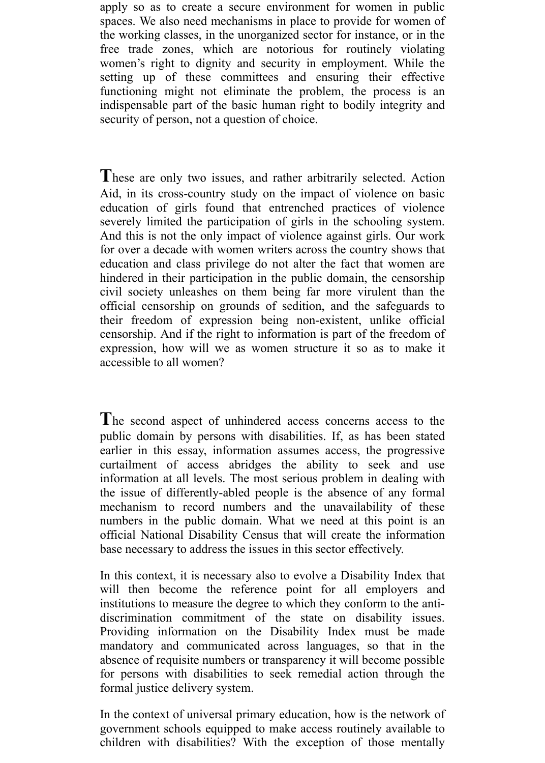apply so as to create a secure environment for women in public spaces. We also need mechanisms in place to provide for women of the working classes, in the unorganized sector for instance, or in the free trade zones, which are notorious for routinely violating women's right to dignity and security in employment. While the setting up of these committees and ensuring their effective functioning might not eliminate the problem, the process is an indispensable part of the basic human right to bodily integrity and security of person, not a question of choice.

**T**hese are only two issues, and rather arbitrarily selected. Action Aid, in its cross-country study on the impact of violence on basic education of girls found that entrenched practices of violence severely limited the participation of girls in the schooling system. And this is not the only impact of violence against girls. Our work for over a decade with women writers across the country shows that education and class privilege do not alter the fact that women are hindered in their participation in the public domain, the censorship civil society unleashes on them being far more virulent than the official censorship on grounds of sedition, and the safeguards to their freedom of expression being non-existent, unlike official censorship. And if the right to information is part of the freedom of expression, how will we as women structure it so as to make it accessible to all women?

**T**he second aspect of unhindered access concerns access to the public domain by persons with disabilities. If, as has been stated earlier in this essay, information assumes access, the progressive curtailment of access abridges the ability to seek and use information at all levels. The most serious problem in dealing with the issue of differently-abled people is the absence of any formal mechanism to record numbers and the unavailability of these numbers in the public domain. What we need at this point is an official National Disability Census that will create the information base necessary to address the issues in this sector effectively.

In this context, it is necessary also to evolve a Disability Index that will then become the reference point for all employers and institutions to measure the degree to which they conform to the antidiscrimination commitment of the state on disability issues. Providing information on the Disability Index must be made mandatory and communicated across languages, so that in the absence of requisite numbers or transparency it will become possible for persons with disabilities to seek remedial action through the formal justice delivery system.

In the context of universal primary education, how is the network of government schools equipped to make access routinely available to children with disabilities? With the exception of those mentally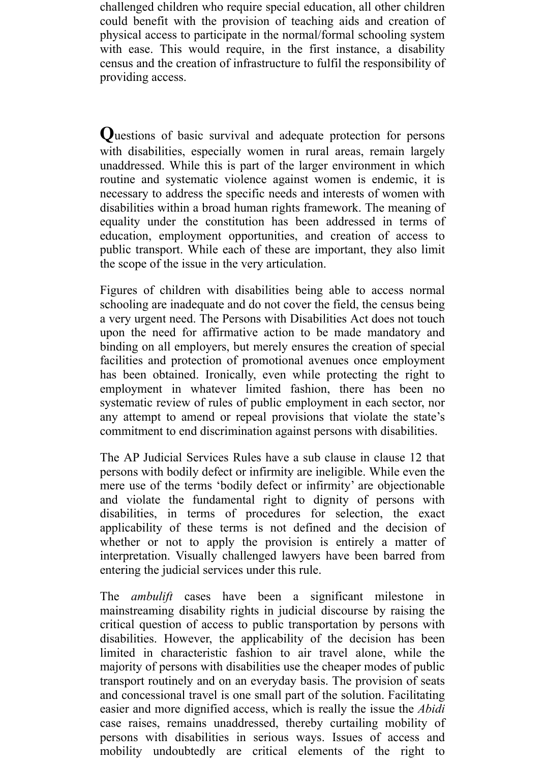challenged children who require special education, all other children could benefit with the provision of teaching aids and creation of physical access to participate in the normal/formal schooling system with ease. This would require, in the first instance, a disability census and the creation of infrastructure to fulfil the responsibility of providing access.

**Q**uestions of basic survival and adequate protection for persons with disabilities, especially women in rural areas, remain largely unaddressed. While this is part of the larger environment in which routine and systematic violence against women is endemic, it is necessary to address the specific needs and interests of women with disabilities within a broad human rights framework. The meaning of equality under the constitution has been addressed in terms of education, employment opportunities, and creation of access to public transport. While each of these are important, they also limit the scope of the issue in the very articulation.

Figures of children with disabilities being able to access normal schooling are inadequate and do not cover the field, the census being a very urgent need. The Persons with Disabilities Act does not touch upon the need for affirmative action to be made mandatory and binding on all employers, but merely ensures the creation of special facilities and protection of promotional avenues once employment has been obtained. Ironically, even while protecting the right to employment in whatever limited fashion, there has been no systematic review of rules of public employment in each sector, nor any attempt to amend or repeal provisions that violate the state's commitment to end discrimination against persons with disabilities.

The AP Judicial Services Rules have a sub clause in clause 12 that persons with bodily defect or infirmity are ineligible. While even the mere use of the terms 'bodily defect or infirmity' are objectionable and violate the fundamental right to dignity of persons with disabilities, in terms of procedures for selection, the exact applicability of these terms is not defined and the decision of whether or not to apply the provision is entirely a matter of interpretation. Visually challenged lawyers have been barred from entering the judicial services under this rule.

The *ambulift* cases have been a significant milestone in mainstreaming disability rights in judicial discourse by raising the critical question of access to public transportation by persons with disabilities. However, the applicability of the decision has been limited in characteristic fashion to air travel alone, while the majority of persons with disabilities use the cheaper modes of public transport routinely and on an everyday basis. The provision of seats and concessional travel is one small part of the solution. Facilitating easier and more dignified access, which is really the issue the *Abidi* case raises, remains unaddressed, thereby curtailing mobility of persons with disabilities in serious ways. Issues of access and mobility undoubtedly are critical elements of the right to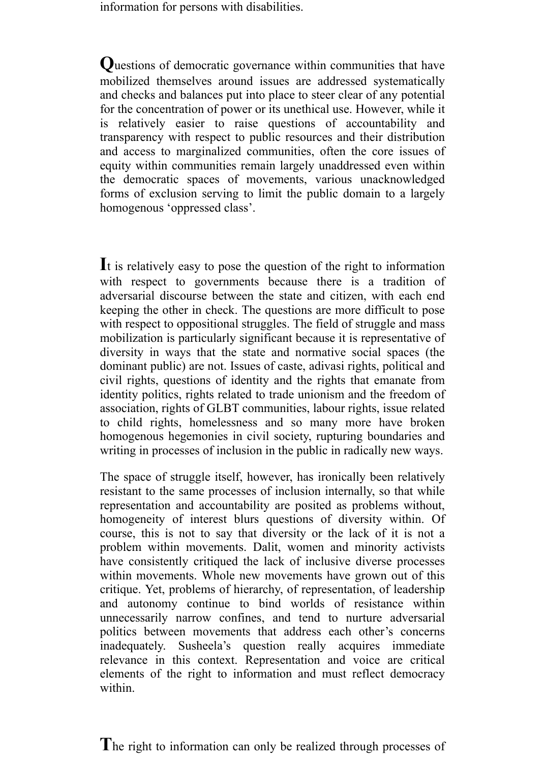information for persons with disabilities.

**Q**uestions of democratic governance within communities that have mobilized themselves around issues are addressed systematically and checks and balances put into place to steer clear of any potential for the concentration of power or its unethical use. However, while it is relatively easier to raise questions of accountability and transparency with respect to public resources and their distribution and access to marginalized communities, often the core issues of equity within communities remain largely unaddressed even within the democratic spaces of movements, various unacknowledged forms of exclusion serving to limit the public domain to a largely homogenous 'oppressed class'.

**I**t is relatively easy to pose the question of the right to information with respect to governments because there is a tradition of adversarial discourse between the state and citizen, with each end keeping the other in check. The questions are more difficult to pose with respect to oppositional struggles. The field of struggle and mass mobilization is particularly significant because it is representative of diversity in ways that the state and normative social spaces (the dominant public) are not. Issues of caste, adivasi rights, political and civil rights, questions of identity and the rights that emanate from identity politics, rights related to trade unionism and the freedom of association, rights of GLBT communities, labour rights, issue related to child rights, homelessness and so many more have broken homogenous hegemonies in civil society, rupturing boundaries and writing in processes of inclusion in the public in radically new ways.

The space of struggle itself, however, has ironically been relatively resistant to the same processes of inclusion internally, so that while representation and accountability are posited as problems without, homogeneity of interest blurs questions of diversity within. Of course, this is not to say that diversity or the lack of it is not a problem within movements. Dalit, women and minority activists have consistently critiqued the lack of inclusive diverse processes within movements. Whole new movements have grown out of this critique. Yet, problems of hierarchy, of representation, of leadership and autonomy continue to bind worlds of resistance within unnecessarily narrow confines, and tend to nurture adversarial politics between movements that address each other's concerns inadequately. Susheela's question really acquires immediate relevance in this context. Representation and voice are critical elements of the right to information and must reflect democracy within.

The right to information can only be realized through processes of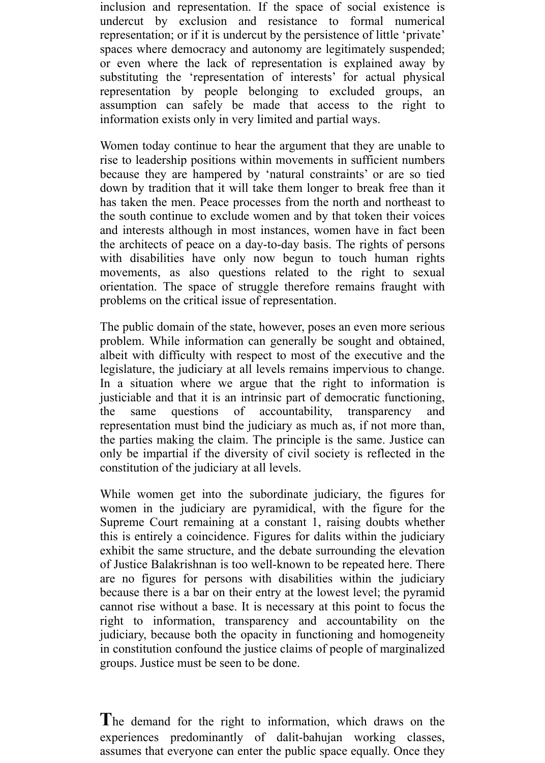inclusion and representation. If the space of social existence is undercut by exclusion and resistance to formal numerical representation; or if it is undercut by the persistence of little 'private' spaces where democracy and autonomy are legitimately suspended; or even where the lack of representation is explained away by substituting the 'representation of interests' for actual physical representation by people belonging to excluded groups, an assumption can safely be made that access to the right to information exists only in very limited and partial ways.

Women today continue to hear the argument that they are unable to rise to leadership positions within movements in sufficient numbers because they are hampered by 'natural constraints' or are so tied down by tradition that it will take them longer to break free than it has taken the men. Peace processes from the north and northeast to the south continue to exclude women and by that token their voices and interests although in most instances, women have in fact been the architects of peace on a day-to-day basis. The rights of persons with disabilities have only now begun to touch human rights movements, as also questions related to the right to sexual orientation. The space of struggle therefore remains fraught with problems on the critical issue of representation.

The public domain of the state, however, poses an even more serious problem. While information can generally be sought and obtained, albeit with difficulty with respect to most of the executive and the legislature, the judiciary at all levels remains impervious to change. In a situation where we argue that the right to information is justiciable and that it is an intrinsic part of democratic functioning, the same questions of accountability, transparency and representation must bind the judiciary as much as, if not more than, the parties making the claim. The principle is the same. Justice can only be impartial if the diversity of civil society is reflected in the constitution of the judiciary at all levels.

While women get into the subordinate judiciary, the figures for women in the judiciary are pyramidical, with the figure for the Supreme Court remaining at a constant 1, raising doubts whether this is entirely a coincidence. Figures for dalits within the judiciary exhibit the same structure, and the debate surrounding the elevation of Justice Balakrishnan is too well-known to be repeated here. There are no figures for persons with disabilities within the judiciary because there is a bar on their entry at the lowest level; the pyramid cannot rise without a base. It is necessary at this point to focus the right to information, transparency and accountability on the judiciary, because both the opacity in functioning and homogeneity in constitution confound the justice claims of people of marginalized groups. Justice must be seen to be done.

**T**he demand for the right to information, which draws on the experiences predominantly of dalit-bahujan working classes, assumes that everyone can enter the public space equally. Once they